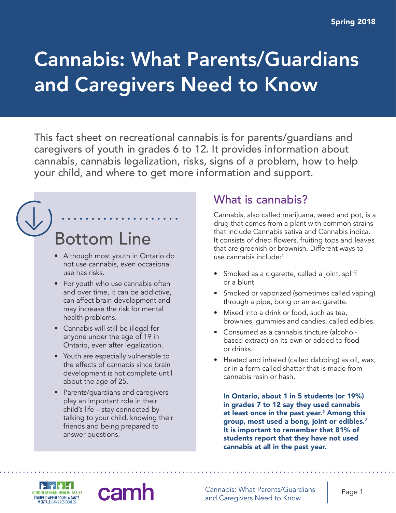# Cannabis: What Parents/Guardians and Caregivers Need to Know

This fact sheet on recreational cannabis is for parents/guardians and caregivers of youth in grades 6 to 12. It provides information about cannabis, cannabis legalization, risks, signs of a problem, how to help your child, and where to get more information and support.

# Bottom Line

- Although most youth in Ontario do not use cannabis, even occasional use has risks.
- For youth who use cannabis often and over time, it can be addictive, can affect brain development and may increase the risk for mental health problems.
- Cannabis will still be illegal for anyone under the age of 19 in Ontario, even after legalization.
- Youth are especially vulnerable to the effects of cannabis since brain development is not complete until about the age of 25.
- Parents/guardians and caregivers play an important role in their child's life – stay connected by talking to your child, knowing their friends and being prepared to answer questions.

cam

## What is cannabis?

Cannabis, also called marijuana, weed and pot, is a drug that comes from a plant with common strains that include Cannabis sativa and Cannabis indica. It consists of dried flowers, fruiting tops and leaves that are greenish or brownish. Different ways to use cannabis include:1

- Smoked as a cigarette, called a joint, spliff or a blunt.
- Smoked or vaporized (sometimes called vaping) through a pipe, bong or an e-cigarette.
- Mixed into a drink or food, such as tea, brownies, gummies and candies, called edibles.
- Consumed as a cannabis tincture (alcoholbased extract) on its own or added to food or drinks.
- Heated and inhaled (called dabbing) as oil, wax, or in a form called shatter that is made from cannabis resin or hash.

In Ontario, about 1 in 5 students (or 19%) in grades 7 to 12 say they used cannabis at least once in the past year.<sup>2</sup> Among this group, most used a bong, joint or edibles.2 It is important to remember that 81% of students report that they have not used cannabis at all in the past year.



Cannabis: What Parents/Guardians Cannabis: What Parents/Guardians Page 1<br>and Caregivers Need to Know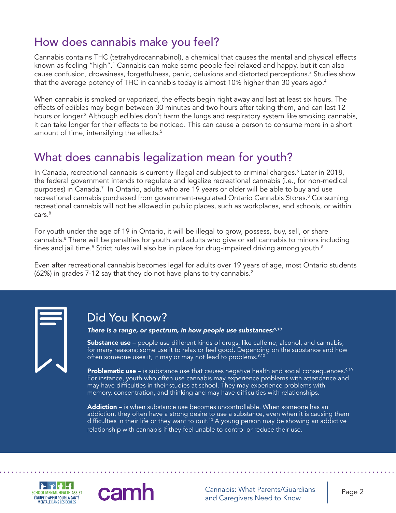# How does cannabis make you feel?

Cannabis contains THC (tetrahydrocannabinol), a chemical that causes the mental and physical effects known as feeling "high".<sup>1</sup> Cannabis can make some people feel relaxed and happy, but it can also cause confusion, drowsiness, forgetfulness, panic, delusions and distorted perceptions.<sup>3</sup> Studies show that the average potency of THC in cannabis today is almost 10% higher than 30 years ago. $4$ 

When cannabis is smoked or vaporized, the effects begin right away and last at least six hours. The effects of edibles may begin between 30 minutes and two hours after taking them, and can last 12 hours or longer.<sup>3</sup> Although edibles don't harm the lungs and respiratory system like smoking cannabis, it can take longer for their effects to be noticed. This can cause a person to consume more in a short amount of time, intensifying the effects.<sup>5</sup>

## What does cannabis legalization mean for youth?

In Canada, recreational cannabis is currently illegal and subject to criminal charges.6 Later in 2018, the federal government intends to regulate and legalize recreational cannabis (i.e., for non-medical purposes) in Canada.7 In Ontario, adults who are 19 years or older will be able to buy and use recreational cannabis purchased from government-regulated Ontario Cannabis Stores.<sup>8</sup> Consuming recreational cannabis will not be allowed in public places, such as workplaces, and schools, or within cars.<sup>8</sup>

For youth under the age of 19 in Ontario, it will be illegal to grow, possess, buy, sell, or share cannabis.8 There will be penalties for youth and adults who give or sell cannabis to minors including fines and jail time. $^8$  Strict rules will also be in place for drug-impaired driving among youth. $^8$ 

Even after recreational cannabis becomes legal for adults over 19 years of age, most Ontario students (62%) in grades 7-12 say that they do not have plans to try cannabis.<sup>2</sup>



#### Did You Know?

*There is a range, or spectrum, in how people use substances:9,10*

**Substance use** – people use different kinds of drugs, like caffeine, alcohol, and cannabis, for many reasons; some use it to relax or feel good. Depending on the substance and how often someone uses it, it may or may not lead to problems.<sup>9,10</sup>

**Problematic use** – is substance use that causes negative health and social consequences.<sup>9,10</sup> For instance, youth who often use cannabis may experience problems with attendance and may have difficulties in their studies at school. They may experience problems with memory, concentration, and thinking and may have difficulties with relationships.

Addiction – is when substance use becomes uncontrollable. When someone has an addiction, they often have a strong desire to use a substance, even when it is causing them difficulties in their life or they want to quit.<sup>10</sup> A young person may be showing an addictive relationship with cannabis if they feel unable to control or reduce their use.



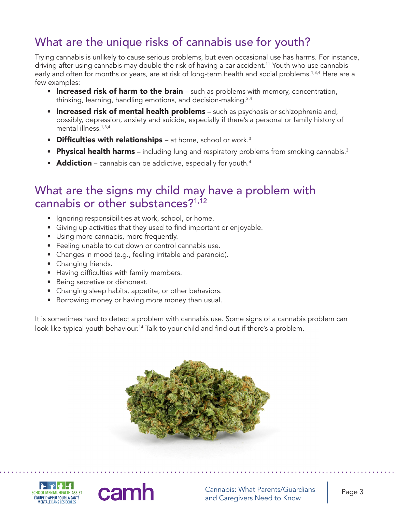# What are the unique risks of cannabis use for youth?

Trying cannabis is unlikely to cause serious problems, but even occasional use has harms. For instance, driving after using cannabis may double the risk of having a car accident.<sup>11</sup> Youth who use cannabis early and often for months or years, are at risk of long-term health and social problems.<sup>1,3,4</sup> Here are a few examples:

- Increased risk of harm to the brain  $-$  such as problems with memory, concentration, thinking, learning, handling emotions, and decision-making.3,4
- Increased risk of mental health problems such as psychosis or schizophrenia and, possibly, depression, anxiety and suicide, especially if there's a personal or family history of mental illness.1,3,4
- Difficulties with relationships  $-$  at home, school or work.<sup>3</sup>
- Physical health harms including lung and respiratory problems from smoking cannabis.<sup>3</sup>
- **Addiction** cannabis can be addictive, especially for youth.<sup>4</sup>

#### What are the signs my child may have a problem with cannabis or other substances?<sup>1,12</sup>

- Ignoring responsibilities at work, school, or home.
- Giving up activities that they used to find important or enjoyable.
- Using more cannabis, more frequently.
- Feeling unable to cut down or control cannabis use.
- Changes in mood (e.g., feeling irritable and paranoid).
- Changing friends.
- Having difficulties with family members.

cam

- Being secretive or dishonest.
- Changing sleep habits, appetite, or other behaviors.
- Borrowing money or having more money than usual.

It is sometimes hard to detect a problem with cannabis use. Some signs of a cannabis problem can look like typical youth behaviour.<sup>14</sup> Talk to your child and find out if there's a problem.





Cannabis: What Parents/Guardians Cannabis: What Parents/Guardians<br>and Caregivers Need to Know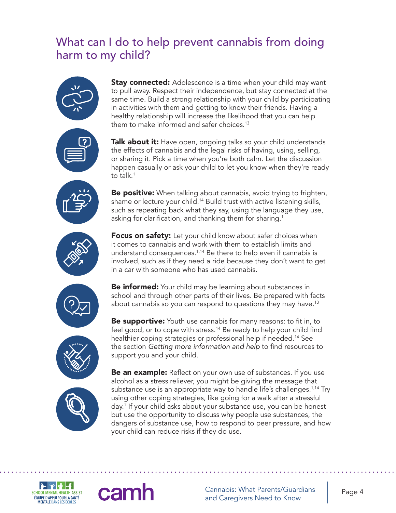#### What can I do to help prevent cannabis from doing harm to my child?



**Stay connected:** Adolescence is a time when your child may want to pull away. Respect their independence, but stay connected at the same time. Build a strong relationship with your child by participating in activities with them and getting to know their friends. Having a healthy relationship will increase the likelihood that you can help them to make informed and safer choices.<sup>13</sup>

Talk about it: Have open, ongoing talks so your child understands the effects of cannabis and the legal risks of having, using, selling, or sharing it. Pick a time when you're both calm. Let the discussion happen casually or ask your child to let you know when they're ready to talk.<sup>1</sup>

**Be positive:** When talking about cannabis, avoid trying to frighten, shame or lecture your child.14 Build trust with active listening skills, such as repeating back what they say, using the language they use, asking for clarification, and thanking them for sharing.<sup>1</sup>



**Focus on safety:** Let your child know about safer choices when it comes to cannabis and work with them to establish limits and understand consequences.<sup>1,14</sup> Be there to help even if cannabis is involved, such as if they need a ride because they don't want to get in a car with someone who has used cannabis.



**Be informed:** Your child may be learning about substances in school and through other parts of their lives. Be prepared with facts about cannabis so you can respond to questions they may have.13





**Be supportive:** Youth use cannabis for many reasons: to fit in, to feel good, or to cope with stress.<sup>14</sup> Be ready to help your child find healthier coping strategies or professional help if needed.14 See the section *Getting more information and help* to find resources to support you and your child.

**Be an example:** Reflect on your own use of substances. If you use alcohol as a stress reliever, you might be giving the message that substance use is an appropriate way to handle life's challenges.<sup>1,14</sup> Try using other coping strategies, like going for a walk after a stressful day.1 If your child asks about your substance use, you can be honest but use the opportunity to discuss why people use substances, the dangers of substance use, how to respond to peer pressure, and how your child can reduce risks if they do use.



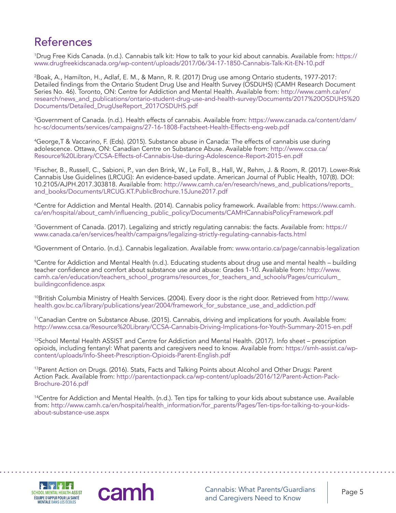# References

1 Drug Free Kids Canada. (n.d.). Cannabis talk kit: How to talk to your kid about cannabis. Available from: [https://](https://www.drugfreekidscanada.org/wp-content/uploads/2017/06/34-17-1850-Cannabis-Talk-Kit-EN-10.pdf) [www.drugfreekidscanada.org/wp-content/uploads/2017/06/34-17-1850-Cannabis-Talk-Kit-EN-10.pdf](https://www.drugfreekidscanada.org/wp-content/uploads/2017/06/34-17-1850-Cannabis-Talk-Kit-EN-10.pdf)

2 Boak, A., Hamilton, H., Adlaf, E. M., & Mann, R. R. (2017) Drug use among Ontario students, 1977-2017: Detailed findings from the Ontario Student Drug Use and Health Survey (OSDUHS) (CAMH Research Document Series No. 46). Toronto, ON: Centre for Addiction and Mental Health. Available from: [http://www.camh.ca/en/](http://www.camh.ca/en/research/news_and_publications/ontario-student-drug-use-and-health-survey/Documents/2017%20OSDUHS%20Documents/Detailed_DrugUseReport_2017OSDUHS.pdf) [research/news\\_and\\_publications/ontario-student-drug-use-and-health-survey/Documents/2017%20OSDUHS%20](http://www.camh.ca/en/research/news_and_publications/ontario-student-drug-use-and-health-survey/Documents/2017%20OSDUHS%20Documents/Detailed_DrugUseReport_2017OSDUHS.pdf) [Documents/Detailed\\_DrugUseReport\\_2017OSDUHS.pdf](http://www.camh.ca/en/research/news_and_publications/ontario-student-drug-use-and-health-survey/Documents/2017%20OSDUHS%20Documents/Detailed_DrugUseReport_2017OSDUHS.pdf)

3 Government of Canada. (n.d.). Health effects of cannabis. Available from: [https://www.canada.ca/content/dam/](https://www.canada.ca/content/dam/hc-sc/documents/services/campaigns/27-16-1808-Factsheet-Health-Effects-eng-web.pdf) [hc-sc/documents/services/campaigns/27-16-1808-Factsheet-Health-Effects-eng-web.pdf](https://www.canada.ca/content/dam/hc-sc/documents/services/campaigns/27-16-1808-Factsheet-Health-Effects-eng-web.pdf)

4 George,T & Vaccarino, F. (Eds). (2015). Substance abuse in Canada: The effects of cannabis use during adolescence. Ottawa, ON: Canadian Centre on Substance Abuse. Available from: [http://www.ccsa.ca/](http://www.ccsa.ca/Resource%20Library/CCSA-Effects-of-Cannabis-Use-during-Adolescence-Report-2015-en.pdf) [Resource%20Library/CCSA-Effects-of-Cannabis-Use-during-Adolescence-Report-2015-en.pdf](http://www.ccsa.ca/Resource%20Library/CCSA-Effects-of-Cannabis-Use-during-Adolescence-Report-2015-en.pdf)

5 Fischer, B., Russell, C., Sabioni, P., van den Brink, W., Le Foll, B., Hall, W., Rehm, J. & Room, R. (2017). Lower-Risk Cannabis Use Guidelines (LRCUG): An evidence-based update. American Journal of Public Health, 107(8). DOI: 10.2105/AJPH.2017.303818. Available from: [http://www.camh.ca/en/research/news\\_and\\_publications/reports\\_](http://www.camh.ca/en/research/news_and_publications/reports_and_books/Documents/LRCUG.KT.PublicBrochure.15June2017.pdf) [and\\_books/Documents/LRCUG.KT.PublicBrochure.15June2017.pdf](http://www.camh.ca/en/research/news_and_publications/reports_and_books/Documents/LRCUG.KT.PublicBrochure.15June2017.pdf)

6 Centre for Addiction and Mental Health. (2014). Cannabis policy framework. Available from: [https://www.camh.](https://www.camh.ca/en/hospital/about_camh/influencing_public_policy/Documents/CAMHCannabisPolicyFramework.pdf) [ca/en/hospital/about\\_camh/influencing\\_public\\_policy/Documents/CAMHCannabisPolicyFramework.pdf](https://www.camh.ca/en/hospital/about_camh/influencing_public_policy/Documents/CAMHCannabisPolicyFramework.pdf)

7 Government of Canada. (2017). Legalizing and strictly regulating cannabis: the facts. Available from: [https://](https://www.canada.ca/en/services/health/campaigns/legalizing-strictly-regulating-cannabis-facts.html) [www.canada.ca/en/services/health/campaigns/legalizing-strictly-regulating-cannabis-facts.html](https://www.canada.ca/en/services/health/campaigns/legalizing-strictly-regulating-cannabis-facts.html)

8 Government of Ontario. (n.d.). Cannabis legalization. Available from:<www.ontario.ca/page/cannabis-legalization>

9 Centre for Addiction and Mental Health (n.d.). Educating students about drug use and mental health – building teacher confidence and comfort about substance use and abuse: Grades 1-10. Available from: [http://www.](http://www.camh.ca/en/education/teachers_school_programs/resources_for_teachers_and_schools/Pages/curriculum_buildingconfidence.aspx) [camh.ca/en/education/teachers\\_school\\_programs/resources\\_for\\_teachers\\_and\\_schools/Pages/curriculum\\_](http://www.camh.ca/en/education/teachers_school_programs/resources_for_teachers_and_schools/Pages/curriculum_buildingconfidence.aspx) [buildingconfidence.aspx](http://www.camh.ca/en/education/teachers_school_programs/resources_for_teachers_and_schools/Pages/curriculum_buildingconfidence.aspx)

10British Columbia Ministry of Health Services. (2004). Every door is the right door. Retrieved from [http://www.](http://www.health.gov.bc.ca/library/publications/year/2004/framework_for_substance_use_and_addiction.pdf) [health.gov.bc.ca/library/publications/year/2004/framework\\_for\\_substance\\_use\\_and\\_addiction.pdf](http://www.health.gov.bc.ca/library/publications/year/2004/framework_for_substance_use_and_addiction.pdf)

11Canadian Centre on Substance Abuse. (2015). Cannabis, driving and implications for youth. Available from: <http://www.ccsa.ca/Resource%20Library/CCSA-Cannabis-Driving-Implications-for-Youth-Summary-2015-en.pdf>

<sup>12</sup>School Mental Health ASSIST and Centre for Addiction and Mental Health. (2017). Info sheet – prescription opioids, including fentanyl: What parents and caregivers need to know. Available from: [https://smh-assist.ca/wp](https://smh-assist.ca/wp-content/uploads/Info-Sheet-Prescription-Opioids-Parent-English.pdf)[content/uploads/Info-Sheet-Prescription-Opioids-Parent-English.pdf](https://smh-assist.ca/wp-content/uploads/Info-Sheet-Prescription-Opioids-Parent-English.pdf)

<sup>13</sup>Parent Action on Drugs. (2016). Stats, Facts and Talking Points about Alcohol and Other Drugs: Parent Action Pack. Available from: [http://parentactionpack.ca/wp-content/uploads/2016/12/Parent-Action-Pack-](http://parentactionpack.ca/wp-content/uploads/2016/12/Parent-Action-Pack-Brochure-2016.pdf)[Brochure-2016.pdf](http://parentactionpack.ca/wp-content/uploads/2016/12/Parent-Action-Pack-Brochure-2016.pdf)

<sup>14</sup>Centre for Addiction and Mental Health. (n.d.). Ten tips for talking to your kids about substance use. Available from: [http://www.camh.ca/en/hospital/health\\_information/for\\_parents/Pages/Ten-tips-for-talking-to-your-kids](http://www.camh.ca/en/hospital/health_information/for_parents/Pages/Ten-tips-for-talking-to-your-kids-about-substance-use.aspx)[about-substance-use.aspx](http://www.camh.ca/en/hospital/health_information/for_parents/Pages/Ten-tips-for-talking-to-your-kids-about-substance-use.aspx)